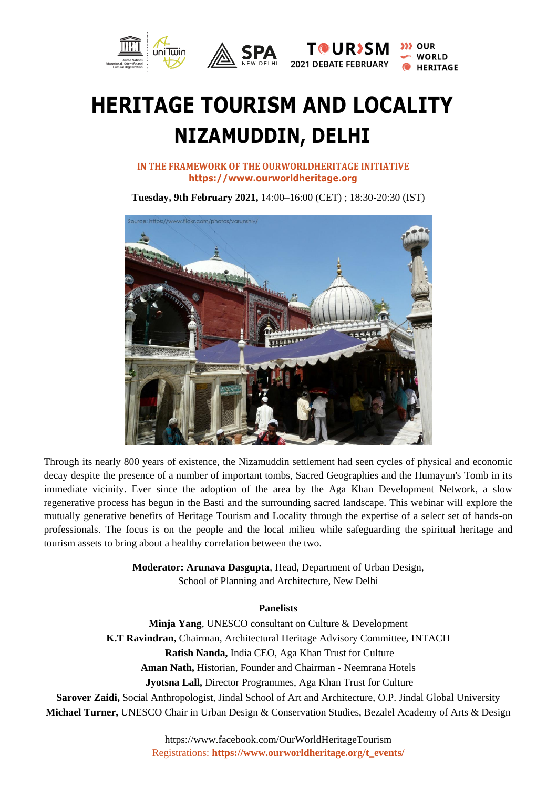

## **HERITAGE TOURISM AND LOCALITY NIZAMUDDIN, DELHI**

**IN THE FRAMEWORK OF THE OURWORLDHERITAGE INITIATIVE https:[//www.ourworldheritage.org](http://www.ourworldheritage.org/)**

**Tuesday, 9th February 2021,** 14:00–16:00 (CET) ; 18:30-20:30 (IST)



Through its nearly 800 years of existence, the Nizamuddin settlement had seen cycles of physical and economic decay despite the presence of a number of important tombs, Sacred Geographies and the Humayun's Tomb in its immediate vicinity. Ever since the adoption of the area by the Aga Khan Development Network, a slow regenerative process has begun in the Basti and the surrounding sacred landscape. This webinar will explore the mutually generative benefits of Heritage Tourism and Locality through the expertise of a select set of hands-on professionals. The focus is on the people and the local milieu while safeguarding the spiritual heritage and tourism assets to bring about a healthy correlation between the two.

> **Moderator: Arunava Dasgupta**, Head, Department of Urban Design, School of Planning and Architecture, New Delhi

## **Panelists**

**Minja Yang**, UNESCO consultant on Culture & Development **K.T Ravindran,** Chairman, Architectural Heritage Advisory Committee, INTACH **Ratish Nanda,** India CEO, Aga Khan Trust for Culture **Aman Nath,** Historian, Founder and Chairman - Neemrana Hotels

**Jyotsna Lall,** Director Programmes, Aga Khan Trust for Culture

**Sarover Zaidi,** Social Anthropologist, Jindal School of Art and Architecture, O.P. Jindal Global University **Michael Turner,** UNESCO Chair in Urban Design & Conservation Studies, Bezalel Academy of Arts & Design

> <https://www.facebook.com/OurWorldHeritageTourism> Registrations: **https://www.ourworldheritage.org/t\_events/**